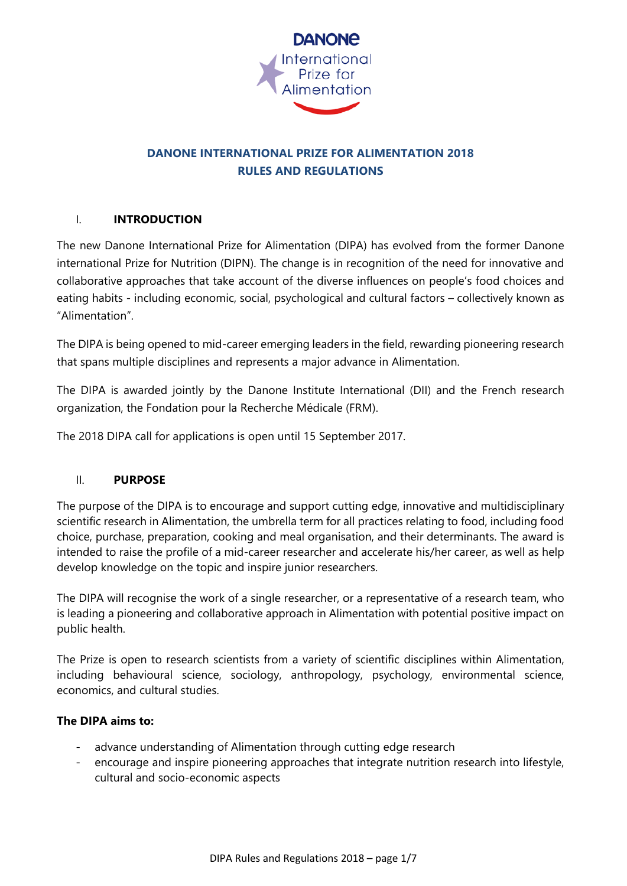

# **DANONE INTERNATIONAL PRIZE FOR ALIMENTATION 2018 RULES AND REGULATIONS**

## I. **INTRODUCTION**

The new Danone International Prize for Alimentation (DIPA) has evolved from the former Danone international Prize for Nutrition (DIPN). The change is in recognition of the need for innovative and collaborative approaches that take account of the diverse influences on people's food choices and eating habits - including economic, social, psychological and cultural factors – collectively known as "Alimentation".

The DIPA is being opened to mid-career emerging leaders in the field, rewarding pioneering research that spans multiple disciplines and represents a major advance in Alimentation.

The DIPA is awarded jointly by the Danone Institute International (DII) and the French research organization, the Fondation pour la Recherche Médicale (FRM).

The 2018 DIPA call for applications is open until 15 September 2017.

## II. **PURPOSE**

The purpose of the DIPA is to encourage and support cutting edge, innovative and multidisciplinary scientific research in Alimentation, the umbrella term for all practices relating to food, including food choice, purchase, preparation, cooking and meal organisation, and their determinants. The award is intended to raise the profile of a mid-career researcher and accelerate his/her career, as well as help develop knowledge on the topic and inspire junior researchers.

The DIPA will recognise the work of a single researcher, or a representative of a research team, who is leading a pioneering and collaborative approach in Alimentation with potential positive impact on public health.

The Prize is open to research scientists from a variety of scientific disciplines within Alimentation, including behavioural science, sociology, anthropology, psychology, environmental science, economics, and cultural studies.

#### **The DIPA aims to:**

- advance understanding of Alimentation through cutting edge research
- encourage and inspire pioneering approaches that integrate nutrition research into lifestyle, cultural and socio-economic aspects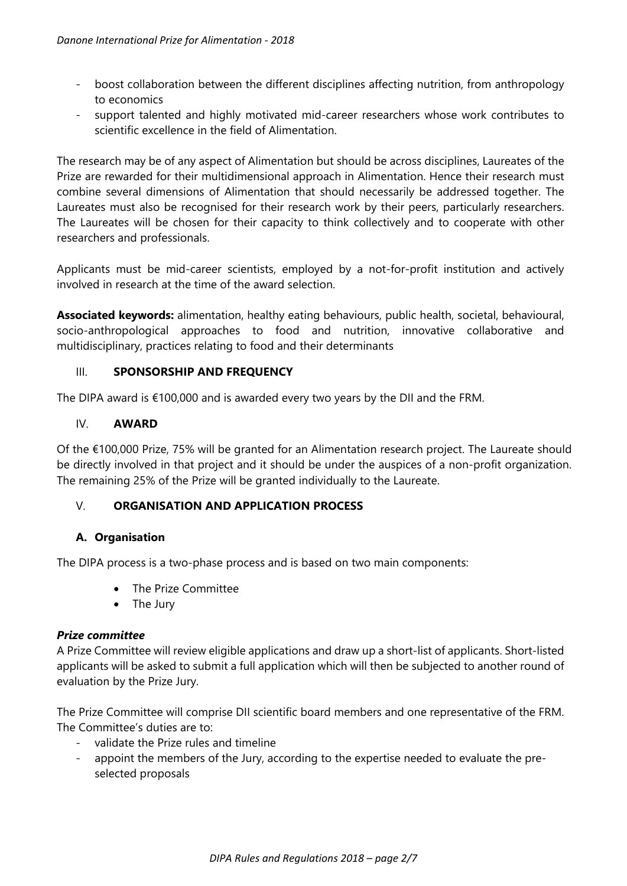- boost collaboration between the different disciplines affecting nutrition, from anthropology to economics
- support talented and highly motivated mid-career researchers whose work contributes to scientific excellence in the field of Alimentation.

The research may be of any aspect of Alimentation but should be across disciplines, Laureates of the Prize are rewarded for their multidimensional approach in Alimentation. Hence their research must combine several dimensions of Alimentation that should necessarily be addressed together. The Laureates must also be recognised for their research work by their peers, particularly researchers. The Laureates will be chosen for their capacity to think collectively and to cooperate with other researchers and professionals.

Applicants must be mid-career scientists, employed by a not-for-profit institution and actively involved in research at the time of the award selection.

**Associated keywords:** alimentation, healthy eating behaviours, public health, societal, behavioural, socio-anthropological approaches to food and nutrition, innovative collaborative and multidisciplinary, practices relating to food and their determinants

## III. **SPONSORSHIP AND FREQUENCY**

The DIPA award is €100,000 and is awarded every two years by the DII and the FRM.

## IV. **AWARD**

Of the €100,000 Prize, 75% will be granted for an Alimentation research project. The Laureate should be directly involved in that project and it should be under the auspices of a non-profit organization. The remaining 25% of the Prize will be granted individually to the Laureate.

## V. **ORGANISATION AND APPLICATION PROCESS**

## **A. Organisation**

The DIPA process is a two-phase process and is based on two main components:

- The Prize Committee
- The Jury

## *Prize committee*

A Prize Committee will review eligible applications and draw up a short-list of applicants. Short-listed applicants will be asked to submit a full application which will then be subjected to another round of evaluation by the Prize Jury.

The Prize Committee will comprise DII scientific board members and one representative of the FRM. The Committee's duties are to:

- validate the Prize rules and timeline
- appoint the members of the Jury, according to the expertise needed to evaluate the preselected proposals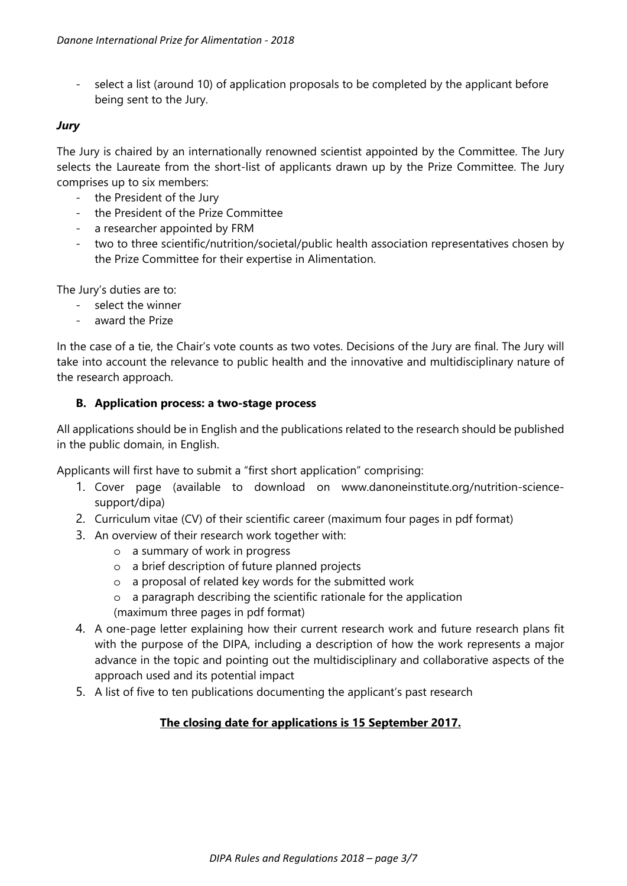- select a list (around 10) of application proposals to be completed by the applicant before being sent to the Jury.

## *Jury*

The Jury is chaired by an internationally renowned scientist appointed by the Committee. The Jury selects the Laureate from the short-list of applicants drawn up by the Prize Committee. The Jury comprises up to six members:

- the President of the Jury
- the President of the Prize Committee
- a researcher appointed by FRM
- two to three scientific/nutrition/societal/public health association representatives chosen by the Prize Committee for their expertise in Alimentation.

The Jury's duties are to:

- select the winner
- award the Prize

In the case of a tie, the Chair's vote counts as two votes. Decisions of the Jury are final. The Jury will take into account the relevance to public health and the innovative and multidisciplinary nature of the research approach.

### **B. Application process: a two-stage process**

All applications should be in English and the publications related to the research should be published in the public domain, in English.

Applicants will first have to submit a "first short application" comprising:

- 1. Cover page (available to download on www.danoneinstitute.org/nutrition-sciencesupport/dipa)
- 2. Curriculum vitae (CV) of their scientific career (maximum four pages in pdf format)
- 3. An overview of their research work together with:
	- o a summary of work in progress
	- o a brief description of future planned projects
	- o a proposal of related key words for the submitted work
	- o a paragraph describing the scientific rationale for the application
	- (maximum three pages in pdf format)
- 4. A one-page letter explaining how their current research work and future research plans fit with the purpose of the DIPA, including a description of how the work represents a major advance in the topic and pointing out the multidisciplinary and collaborative aspects of the approach used and its potential impact
- 5. A list of five to ten publications documenting the applicant's past research

## **The closing date for applications is 15 September 2017.**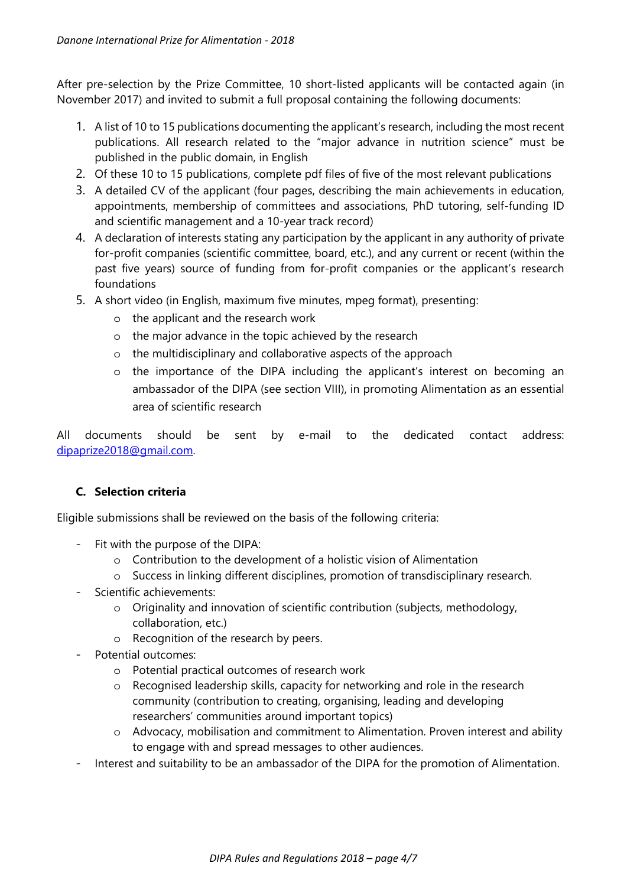After pre-selection by the Prize Committee, 10 short-listed applicants will be contacted again (in November 2017) and invited to submit a full proposal containing the following documents:

- 1. A list of 10 to 15 publications documenting the applicant's research, including the most recent publications. All research related to the "major advance in nutrition science" must be published in the public domain, in English
- 2. Of these 10 to 15 publications, complete pdf files of five of the most relevant publications
- 3. A detailed CV of the applicant (four pages, describing the main achievements in education, appointments, membership of committees and associations, PhD tutoring, self-funding ID and scientific management and a 10-year track record)
- 4. A declaration of interests stating any participation by the applicant in any authority of private for-profit companies (scientific committee, board, etc.), and any current or recent (within the past five years) source of funding from for-profit companies or the applicant's research foundations
- 5. A short video (in English, maximum five minutes, mpeg format), presenting:
	- o the applicant and the research work
	- o the major advance in the topic achieved by the research
	- o the multidisciplinary and collaborative aspects of the approach
	- o the importance of the DIPA including the applicant's interest on becoming an ambassador of the DIPA (see section VIII), in promoting Alimentation as an essential area of scientific research

All documents should be sent by e-mail to the dedicated contact address: dipaprize2018@gmail.com.

## **C. Selection criteria**

Eligible submissions shall be reviewed on the basis of the following criteria:

- Fit with the purpose of the DIPA:
	- o Contribution to the development of a holistic vision of Alimentation
	- o Success in linking different disciplines, promotion of transdisciplinary research.
- Scientific achievements:
	- o Originality and innovation of scientific contribution (subjects, methodology, collaboration, etc.)
	- o Recognition of the research by peers.
- Potential outcomes:
	- o Potential practical outcomes of research work
	- o Recognised leadership skills, capacity for networking and role in the research community (contribution to creating, organising, leading and developing researchers' communities around important topics)
	- o Advocacy, mobilisation and commitment to Alimentation. Proven interest and ability to engage with and spread messages to other audiences.
- Interest and suitability to be an ambassador of the DIPA for the promotion of Alimentation.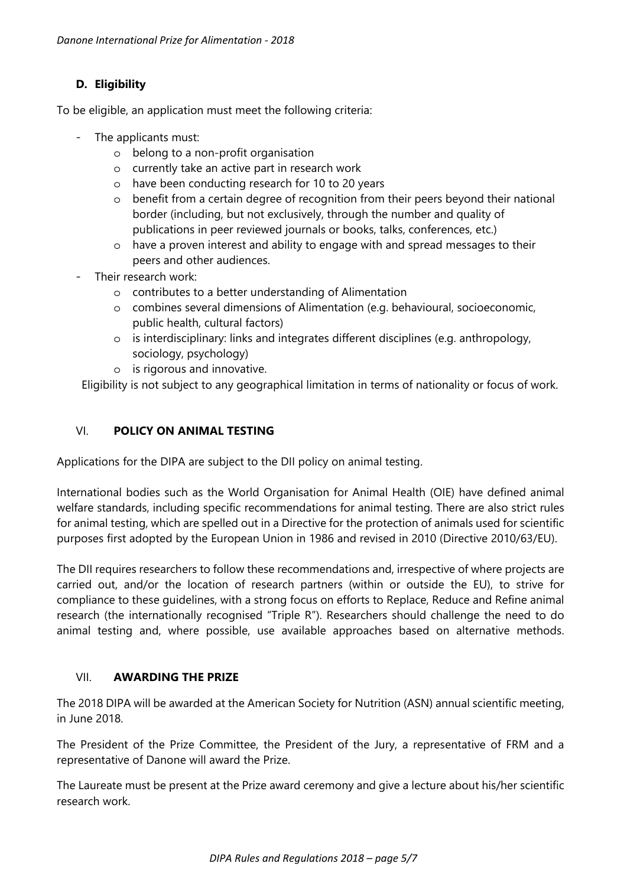# **D. Eligibility**

To be eligible, an application must meet the following criteria:

- The applicants must:
	- o belong to a non-profit organisation
	- o currently take an active part in research work
	- o have been conducting research for 10 to 20 years
	- o benefit from a certain degree of recognition from their peers beyond their national border (including, but not exclusively, through the number and quality of publications in peer reviewed journals or books, talks, conferences, etc.)
	- o have a proven interest and ability to engage with and spread messages to their peers and other audiences.
- Their research work:
	- o contributes to a better understanding of Alimentation
	- o combines several dimensions of Alimentation (e.g. behavioural, socioeconomic, public health, cultural factors)
	- o is interdisciplinary: links and integrates different disciplines (e.g. anthropology, sociology, psychology)
	- o is rigorous and innovative.

Eligibility is not subject to any geographical limitation in terms of nationality or focus of work.

## VI. **POLICY ON ANIMAL TESTING**

Applications for the DIPA are subject to the DII policy on animal testing.

International bodies such as the World Organisation for Animal Health (OIE) have defined animal welfare standards, including specific recommendations for animal testing. There are also strict rules for animal testing, which are spelled out in a Directive for the protection of animals used for scientific purposes first adopted by the European Union in 1986 and revised in 2010 (Directive 2010/63/EU).

The DII requires researchers to follow these recommendations and, irrespective of where projects are carried out, and/or the location of research partners (within or outside the EU), to strive for compliance to these guidelines, with a strong focus on efforts to Replace, Reduce and Refine animal research (the internationally recognised "Triple R"). Researchers should challenge the need to do animal testing and, where possible, use available approaches based on alternative methods.

## VII. **AWARDING THE PRIZE**

The 2018 DIPA will be awarded at the American Society for Nutrition (ASN) annual scientific meeting, in June 2018.

The President of the Prize Committee, the President of the Jury, a representative of FRM and a representative of Danone will award the Prize.

The Laureate must be present at the Prize award ceremony and give a lecture about his/her scientific research work.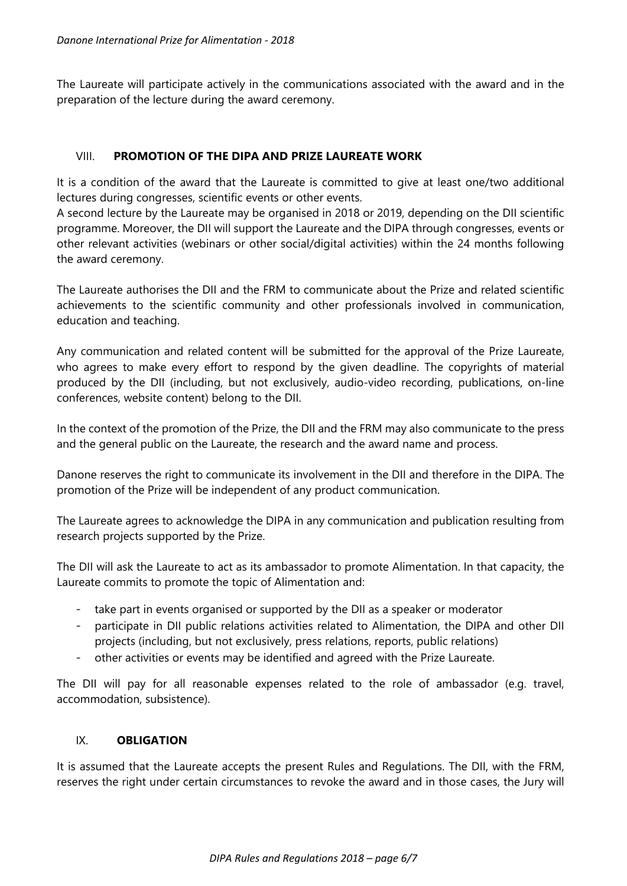The Laureate will participate actively in the communications associated with the award and in the preparation of the lecture during the award ceremony.

### VIII. **PROMOTION OF THE DIPA AND PRIZE LAUREATE WORK**

It is a condition of the award that the Laureate is committed to give at least one/two additional lectures during congresses, scientific events or other events.

A second lecture by the Laureate may be organised in 2018 or 2019, depending on the DII scientific programme. Moreover, the DII will support the Laureate and the DIPA through congresses, events or other relevant activities (webinars or other social/digital activities) within the 24 months following the award ceremony.

The Laureate authorises the DII and the FRM to communicate about the Prize and related scientific achievements to the scientific community and other professionals involved in communication, education and teaching.

Any communication and related content will be submitted for the approval of the Prize Laureate, who agrees to make every effort to respond by the given deadline. The copyrights of material produced by the DII (including, but not exclusively, audio-video recording, publications, on-line conferences, website content) belong to the DII.

In the context of the promotion of the Prize, the DII and the FRM may also communicate to the press and the general public on the Laureate, the research and the award name and process.

Danone reserves the right to communicate its involvement in the DII and therefore in the DIPA. The promotion of the Prize will be independent of any product communication.

The Laureate agrees to acknowledge the DIPA in any communication and publication resulting from research projects supported by the Prize.

The DII will ask the Laureate to act as its ambassador to promote Alimentation. In that capacity, the Laureate commits to promote the topic of Alimentation and:

- take part in events organised or supported by the DII as a speaker or moderator
- participate in DII public relations activities related to Alimentation, the DIPA and other DII projects (including, but not exclusively, press relations, reports, public relations)
- other activities or events may be identified and agreed with the Prize Laureate.

The DII will pay for all reasonable expenses related to the role of ambassador (e.g. travel, accommodation, subsistence).

#### IX. **OBLIGATION**

It is assumed that the Laureate accepts the present Rules and Regulations. The DII, with the FRM, reserves the right under certain circumstances to revoke the award and in those cases, the Jury will